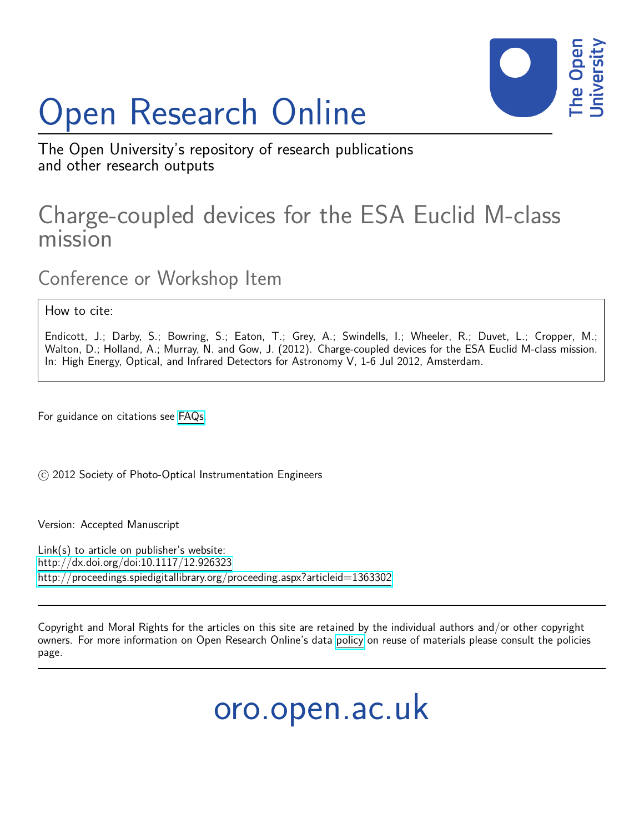# Open Research Online



The Open University's repository of research publications and other research outputs

# Charge-coupled devices for the ESA Euclid M-class mission

Conference or Workshop Item

How to cite:

Endicott, J.; Darby, S.; Bowring, S.; Eaton, T.; Grey, A.; Swindells, I.; Wheeler, R.; Duvet, L.; Cropper, M.; Walton, D.; Holland, A.; Murray, N. and Gow, J. (2012). Charge-coupled devices for the ESA Euclid M-class mission. In: High Energy, Optical, and Infrared Detectors for Astronomy V, 1-6 Jul 2012, Amsterdam.

For guidance on citations see [FAQs.](http://oro.open.ac.uk/help/helpfaq.html)

(c) 2012 Society of Photo-Optical Instrumentation Engineers

Version: Accepted Manuscript

Link(s) to article on publisher's website: <http://dx.doi.org/doi:10.1117/12.926323> <http://proceedings.spiedigitallibrary.org/proceeding.aspx?articleid=1363302>

Copyright and Moral Rights for the articles on this site are retained by the individual authors and/or other copyright owners. For more information on Open Research Online's data [policy](http://oro.open.ac.uk/policies.html) on reuse of materials please consult the policies page.

oro.open.ac.uk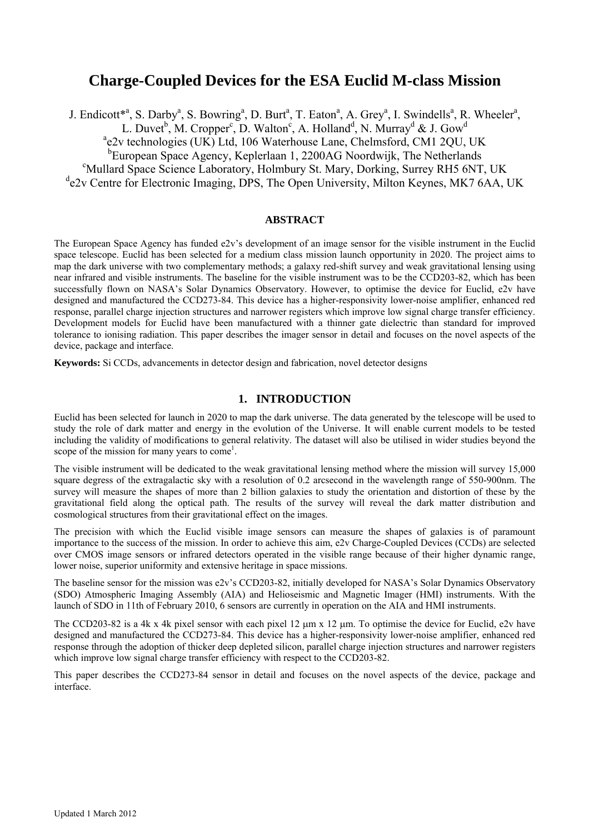# **Charge-Coupled Devices for the ESA Euclid M-class Mission**

J. Endicott<sup>\*a</sup>, S. Darby<sup>a</sup>, S. Bowring<sup>a</sup>, D. Burt<sup>a</sup>, T. Eaton<sup>a</sup>, A. Grey<sup>a</sup>, I. Swindells<sup>a</sup>, R. Wheeler<sup>a</sup>, L. Duvet<sup>b</sup>, M. Cropper<sup>c</sup>, D. Walton<sup>c</sup>, A. Holland<sup>d</sup>, N. Murray<sup>d</sup> & J. Gow<sup>d</sup> <sup>a</sup>e2v technologies (UK) Ltd, 106 Waterhouse Lane, Chelmsford, CM1 2QU, UK <sup>b</sup>European Space Agency, Keplerlaan 1, 2200AG Noordwijk, The Netherlands Mullard Space Science Laboratory, Holmbury St. Mary, Dorking, Surrey RH5 6NT, UK <sup>d</sup>e2v Centre for Electronic Imaging, DPS, The Open University, Milton Keynes, MK7 6AA, UK

#### **ABSTRACT**

The European Space Agency has funded e2v's development of an image sensor for the visible instrument in the Euclid space telescope. Euclid has been selected for a medium class mission launch opportunity in 2020. The project aims to map the dark universe with two complementary methods; a galaxy red-shift survey and weak gravitational lensing using near infrared and visible instruments. The baseline for the visible instrument was to be the CCD203-82, which has been successfully flown on NASA's Solar Dynamics Observatory. However, to optimise the device for Euclid, e2v have designed and manufactured the CCD273-84. This device has a higher-responsivity lower-noise amplifier, enhanced red response, parallel charge injection structures and narrower registers which improve low signal charge transfer efficiency. Development models for Euclid have been manufactured with a thinner gate dielectric than standard for improved tolerance to ionising radiation. This paper describes the imager sensor in detail and focuses on the novel aspects of the device, package and interface.

**Keywords:** Si CCDs, advancements in detector design and fabrication, novel detector designs

#### **1. INTRODUCTION**

Euclid has been selected for launch in 2020 to map the dark universe. The data generated by the telescope will be used to study the role of dark matter and energy in the evolution of the Universe. It will enable current models to be tested including the validity of modifications to general relativity. The dataset will also be utilised in wider studies beyond the scope of the mission for many years to come<sup>1</sup>.

The visible instrument will be dedicated to the weak gravitational lensing method where the mission will survey 15,000 square degress of the extragalactic sky with a resolution of 0.2 arcsecond in the wavelength range of 550-900nm. The survey will measure the shapes of more than 2 billion galaxies to study the orientation and distortion of these by the gravitational field along the optical path. The results of the survey will reveal the dark matter distribution and cosmological structures from their gravitational effect on the images.

The precision with which the Euclid visible image sensors can measure the shapes of galaxies is of paramount importance to the success of the mission. In order to achieve this aim, e2v Charge-Coupled Devices (CCDs) are selected over CMOS image sensors or infrared detectors operated in the visible range because of their higher dynamic range, lower noise, superior uniformity and extensive heritage in space missions.

The baseline sensor for the mission was e2v's CCD203-82, initially developed for NASA's Solar Dynamics Observatory (SDO) Atmospheric Imaging Assembly (AIA) and Helioseismic and Magnetic Imager (HMI) instruments. With the launch of SDO in 11th of February 2010, 6 sensors are currently in operation on the AIA and HMI instruments.

The CCD203-82 is a 4k x 4k pixel sensor with each pixel 12 μm x 12 μm. To optimise the device for Euclid, e2v have designed and manufactured the CCD273-84. This device has a higher-responsivity lower-noise amplifier, enhanced red response through the adoption of thicker deep depleted silicon, parallel charge injection structures and narrower registers which improve low signal charge transfer efficiency with respect to the CCD203-82.

This paper describes the CCD273-84 sensor in detail and focuses on the novel aspects of the device, package and interface.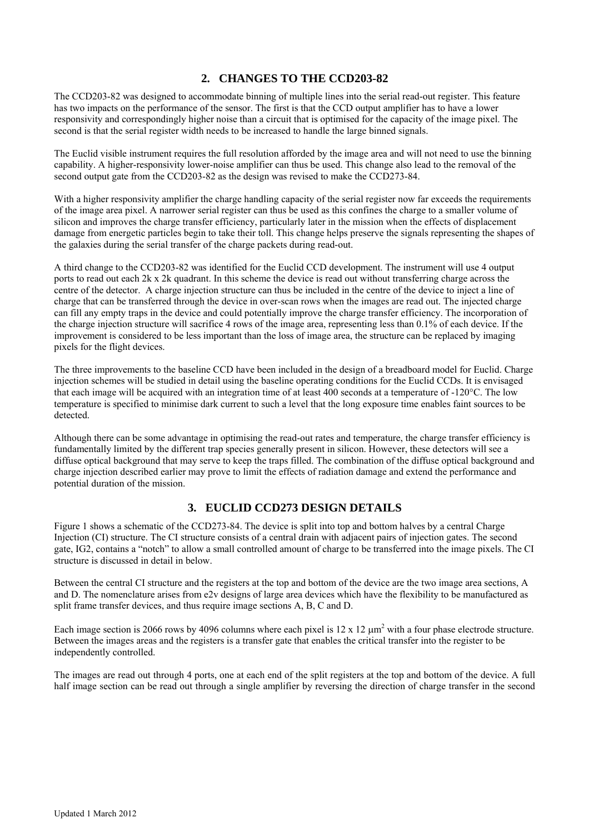### **2. CHANGES TO THE CCD203-82**

The CCD203-82 was designed to accommodate binning of multiple lines into the serial read-out register. This feature has two impacts on the performance of the sensor. The first is that the CCD output amplifier has to have a lower responsivity and correspondingly higher noise than a circuit that is optimised for the capacity of the image pixel. The second is that the serial register width needs to be increased to handle the large binned signals.

The Euclid visible instrument requires the full resolution afforded by the image area and will not need to use the binning capability. A higher-responsivity lower-noise amplifier can thus be used. This change also lead to the removal of the second output gate from the CCD203-82 as the design was revised to make the CCD273-84.

With a higher responsivity amplifier the charge handling capacity of the serial register now far exceeds the requirements of the image area pixel. A narrower serial register can thus be used as this confines the charge to a smaller volume of silicon and improves the charge transfer efficiency, particularly later in the mission when the effects of displacement damage from energetic particles begin to take their toll. This change helps preserve the signals representing the shapes of the galaxies during the serial transfer of the charge packets during read-out.

A third change to the CCD203-82 was identified for the Euclid CCD development. The instrument will use 4 output ports to read out each 2k x 2k quadrant. In this scheme the device is read out without transferring charge across the centre of the detector. A charge injection structure can thus be included in the centre of the device to inject a line of charge that can be transferred through the device in over-scan rows when the images are read out. The injected charge can fill any empty traps in the device and could potentially improve the charge transfer efficiency. The incorporation of the charge injection structure will sacrifice 4 rows of the image area, representing less than 0.1% of each device. If the improvement is considered to be less important than the loss of image area, the structure can be replaced by imaging pixels for the flight devices.

The three improvements to the baseline CCD have been included in the design of a breadboard model for Euclid. Charge injection schemes will be studied in detail using the baseline operating conditions for the Euclid CCDs. It is envisaged that each image will be acquired with an integration time of at least 400 seconds at a temperature of -120°C. The low temperature is specified to minimise dark current to such a level that the long exposure time enables faint sources to be detected.

Although there can be some advantage in optimising the read-out rates and temperature, the charge transfer efficiency is fundamentally limited by the different trap species generally present in silicon. However, these detectors will see a diffuse optical background that may serve to keep the traps filled. The combination of the diffuse optical background and charge injection described earlier may prove to limit the effects of radiation damage and extend the performance and potential duration of the mission.

#### **3. EUCLID CCD273 DESIGN DETAILS**

Figure 1 shows a schematic of the CCD273-84. The device is split into top and bottom halves by a central Charge Injection (CI) structure. The CI structure consists of a central drain with adjacent pairs of injection gates. The second gate, IG2, contains a "notch" to allow a small controlled amount of charge to be transferred into the image pixels. The CI structure is discussed in detail in below.

Between the central CI structure and the registers at the top and bottom of the device are the two image area sections, A and D. The nomenclature arises from  $e2v$  designs of large area devices which have the flexibility to be manufactured as split frame transfer devices, and thus require image sections A, B, C and D.

Each image section is 2066 rows by 4096 columns where each pixel is 12 x 12  $\mu$ m<sup>2</sup> with a four phase electrode structure. Between the images areas and the registers is a transfer gate that enables the critical transfer into the register to be independently controlled.

The images are read out through 4 ports, one at each end of the split registers at the top and bottom of the device. A full half image section can be read out through a single amplifier by reversing the direction of charge transfer in the second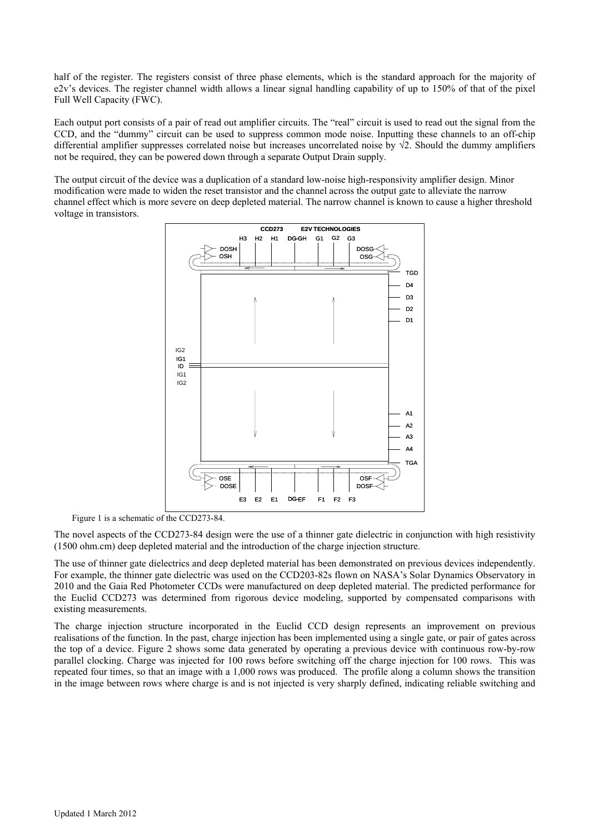half of the register. The registers consist of three phase elements, which is the standard approach for the majority of e2v's devices. The register channel width allows a linear signal handling capability of up to 150% of that of the pixel Full Well Capacity (FWC).

Each output port consists of a pair of read out amplifier circuits. The "real" circuit is used to read out the signal from the CCD, and the "dummy" circuit can be used to suppress common mode noise. Inputting these channels to an off-chip differential amplifier suppresses correlated noise but increases uncorrelated noise by √2. Should the dummy amplifiers not be required, they can be powered down through a separate Output Drain supply.

The output circuit of the device was a duplication of a standard low-noise high-responsivity amplifier design. Minor modification were made to widen the reset transistor and the channel across the output gate to alleviate the narrow channel effect which is more severe on deep depleted material. The narrow channel is known to cause a higher threshold voltage in transistors.



Figure 1 is a schematic of the CCD273-84.

The novel aspects of the CCD273-84 design were the use of a thinner gate dielectric in conjunction with high resistivity (1500 ohm.cm) deep depleted material and the introduction of the charge injection structure.

The use of thinner gate dielectrics and deep depleted material has been demonstrated on previous devices independently. For example, the thinner gate dielectric was used on the CCD203-82s flown on NASA's Solar Dynamics Observatory in 2010 and the Gaia Red Photometer CCDs were manufactured on deep depleted material. The predicted performance for the Euclid CCD273 was determined from rigorous device modeling, supported by compensated comparisons with existing measurements.

The charge injection structure incorporated in the Euclid CCD design represents an improvement on previous realisations of the function. In the past, charge injection has been implemented using a single gate, or pair of gates across the top of a device. Figure 2 shows some data generated by operating a previous device with continuous row-by-row parallel clocking. Charge was injected for 100 rows before switching off the charge injection for 100 rows. This was repeated four times, so that an image with a 1,000 rows was produced. The profile along a column shows the transition in the image between rows where charge is and is not injected is very sharply defined, indicating reliable switching and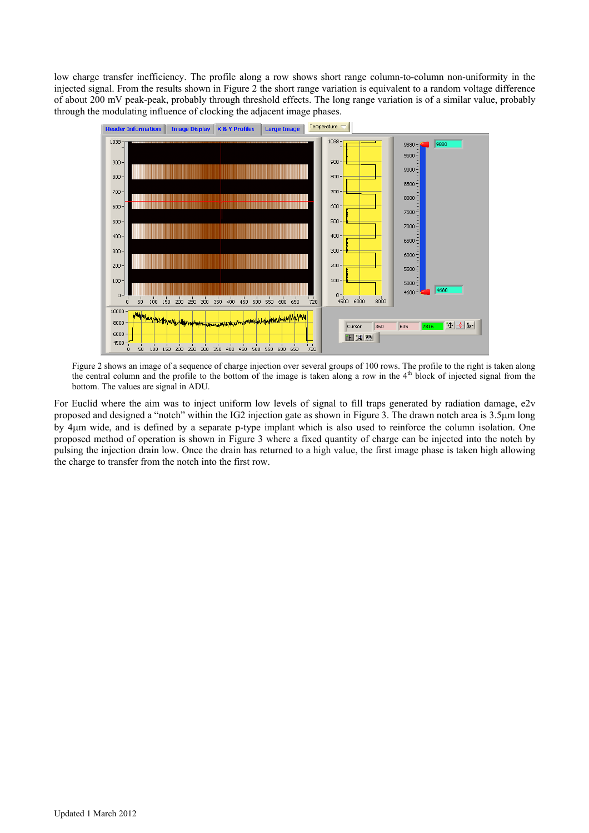low charge transfer inefficiency. The profile along a row shows short range column-to-column non-uniformity in the injected signal. From the results shown in Figure 2 the short range variation is equivalent to a random voltage difference of about 200 mV peak-peak, probably through threshold effects. The long range variation is of a similar value, probably through the modulating influence of clocking the adjacent image phases.



Figure 2 shows an image of a sequence of charge injection over several groups of 100 rows. The profile to the right is taken along the central column and the profile to the bottom of the image is taken along a row in the  $4<sup>th</sup>$  block of injected signal from the bottom. The values are signal in ADU.

For Euclid where the aim was to inject uniform low levels of signal to fill traps generated by radiation damage, e2v proposed and designed a "notch" within the IG2 injection gate as shown in Figure 3. The drawn notch area is 3.5μm long by 4μm wide, and is defined by a separate p-type implant which is also used to reinforce the column isolation. One proposed method of operation is shown in Figure 3 where a fixed quantity of charge can be injected into the notch by pulsing the injection drain low. Once the drain has returned to a high value, the first image phase is taken high allowing the charge to transfer from the notch into the first row.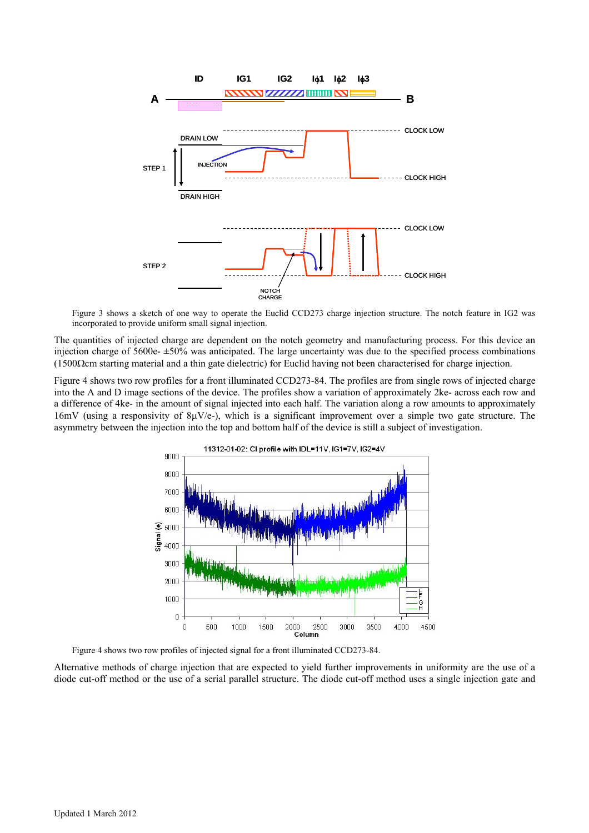

Figure 3 shows a sketch of one way to operate the Euclid CCD273 charge injection structure. The notch feature in IG2 was incorporated to provide uniform small signal injection.

The quantities of injected charge are dependent on the notch geometry and manufacturing process. For this device an injection charge of 5600e- ±50% was anticipated. The large uncertainty was due to the specified process combinations (1500Ωcm starting material and a thin gate dielectric) for Euclid having not been characterised for charge injection.

Figure 4 shows two row profiles for a front illuminated CCD273-84. The profiles are from single rows of injected charge into the A and D image sections of the device. The profiles show a variation of approximately 2ke- across each row and a difference of 4ke- in the amount of signal injected into each half. The variation along a row amounts to approximately 16mV (using a responsivity of  $\frac{8\mu V}{e}$ ), which is a significant improvement over a simple two gate structure. The asymmetry between the injection into the top and bottom half of the device is still a subject of investigation.



Figure 4 shows two row profiles of injected signal for a front illuminated CCD273-84.

Alternative methods of charge injection that are expected to yield further improvements in uniformity are the use of a diode cut-off method or the use of a serial parallel structure. The diode cut-off method uses a single injection gate and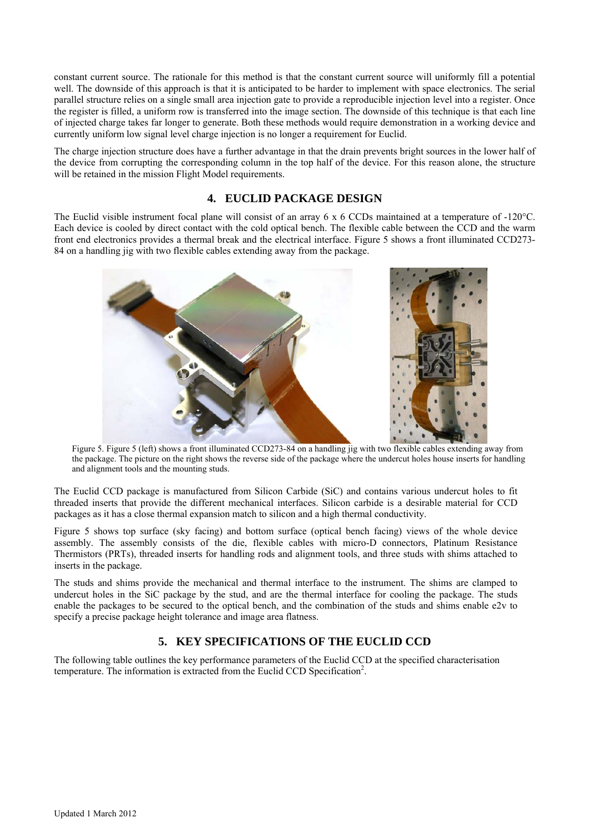constant current source. The rationale for this method is that the constant current source will uniformly fill a potential well. The downside of this approach is that it is anticipated to be harder to implement with space electronics. The serial parallel structure relies on a single small area injection gate to provide a reproducible injection level into a register. Once the register is filled, a uniform row is transferred into the image section. The downside of this technique is that each line of injected charge takes far longer to generate. Both these methods would require demonstration in a working device and currently uniform low signal level charge injection is no longer a requirement for Euclid.

The charge injection structure does have a further advantage in that the drain prevents bright sources in the lower half of the device from corrupting the corresponding column in the top half of the device. For this reason alone, the structure will be retained in the mission Flight Model requirements.

#### **4. EUCLID PACKAGE DESIGN**

The Euclid visible instrument focal plane will consist of an array 6 x 6 CCDs maintained at a temperature of -120°C. Each device is cooled by direct contact with the cold optical bench. The flexible cable between the CCD and the warm front end electronics provides a thermal break and the electrical interface. Figure 5 shows a front illuminated CCD273- 84 on a handling jig with two flexible cables extending away from the package.



Figure 5. Figure 5 (left) shows a front illuminated CCD273-84 on a handling jig with two flexible cables extending away from the package. The picture on the right shows the reverse side of the package where the undercut holes house inserts for handling and alignment tools and the mounting studs.

The Euclid CCD package is manufactured from Silicon Carbide (SiC) and contains various undercut holes to fit threaded inserts that provide the different mechanical interfaces. Silicon carbide is a desirable material for CCD packages as it has a close thermal expansion match to silicon and a high thermal conductivity.

Figure 5 shows top surface (sky facing) and bottom surface (optical bench facing) views of the whole device assembly. The assembly consists of the die, flexible cables with micro-D connectors, Platinum Resistance Thermistors (PRTs), threaded inserts for handling rods and alignment tools, and three studs with shims attached to inserts in the package.

The studs and shims provide the mechanical and thermal interface to the instrument. The shims are clamped to undercut holes in the SiC package by the stud, and are the thermal interface for cooling the package. The studs enable the packages to be secured to the optical bench, and the combination of the studs and shims enable e2v to specify a precise package height tolerance and image area flatness.

## **5. KEY SPECIFICATIONS OF THE EUCLID CCD**

The following table outlines the key performance parameters of the Euclid CCD at the specified characterisation temperature. The information is extracted from the Euclid CCD Specification<sup>2</sup>.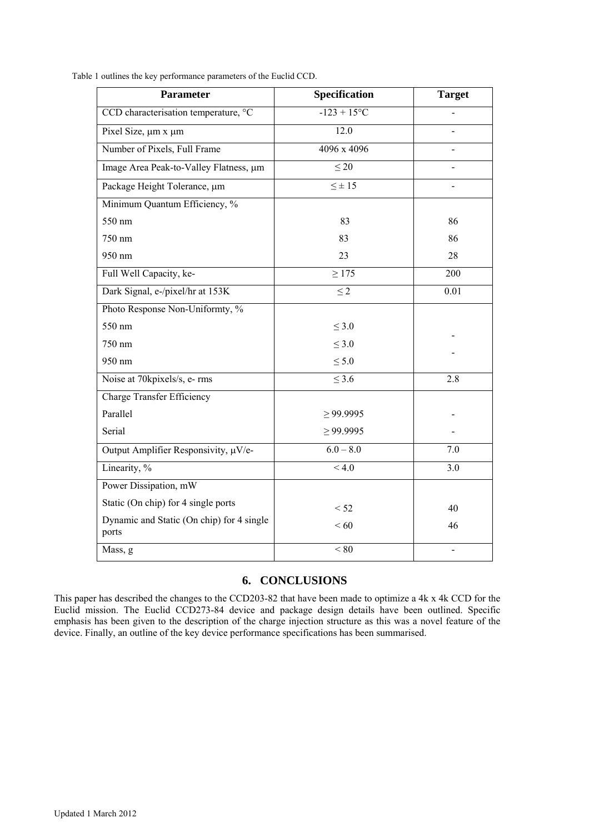|  | Table 1 outlines the key performance parameters of the Euclid CCD. |
|--|--------------------------------------------------------------------|
|  |                                                                    |

| <b>Parameter</b>                                   | Specification        | <b>Target</b> |
|----------------------------------------------------|----------------------|---------------|
| CCD characterisation temperature, °C               | $-123 + 15^{\circ}C$ |               |
| Pixel Size, $\mu$ m x $\mu$ m                      | 12.0                 |               |
| Number of Pixels, Full Frame                       | 4096 x 4096          |               |
| Image Area Peak-to-Valley Flatness, um             | $\leq 20$            |               |
| Package Height Tolerance, µm                       | $\leq \pm 15$        |               |
| Minimum Quantum Efficiency, %                      |                      |               |
| 550 nm                                             | 83                   | 86            |
| 750 nm                                             | 83                   | 86            |
| 950 nm                                             | 23                   | 28            |
| Full Well Capacity, ke-                            | $\geq 175$           | 200           |
| Dark Signal, e-/pixel/hr at 153K                   | $\leq$ 2             | 0.01          |
| Photo Response Non-Uniformty, %                    |                      |               |
| 550 nm                                             | $\leq 3.0$           |               |
| 750 nm                                             | $\leq 3.0$           |               |
| 950 nm                                             | $\leq 5.0$           |               |
| Noise at 70kpixels/s, e- rms                       | $\leq$ 3.6           | 2.8           |
| <b>Charge Transfer Efficiency</b>                  |                      |               |
| Parallel                                           | $\geq$ 99.9995       |               |
| Serial                                             | $\geq$ 99.9995       |               |
| Output Amplifier Responsivity, µV/e-               | $6.0 - 8.0$          | 7.0           |
| Linearity, %                                       | < 4.0                | 3.0           |
| Power Dissipation, mW                              |                      |               |
| Static (On chip) for 4 single ports                | < 52                 | 40            |
| Dynamic and Static (On chip) for 4 single<br>ports | < 60                 | 46            |
| Mass, g                                            | < 80                 |               |

#### **6. CONCLUSIONS**

This paper has described the changes to the CCD203-82 that have been made to optimize a 4k x 4k CCD for the Euclid mission. The Euclid CCD273-84 device and package design details have been outlined. Specific emphasis has been given to the description of the charge injection structure as this was a novel feature of the device. Finally, an outline of the key device performance specifications has been summarised.